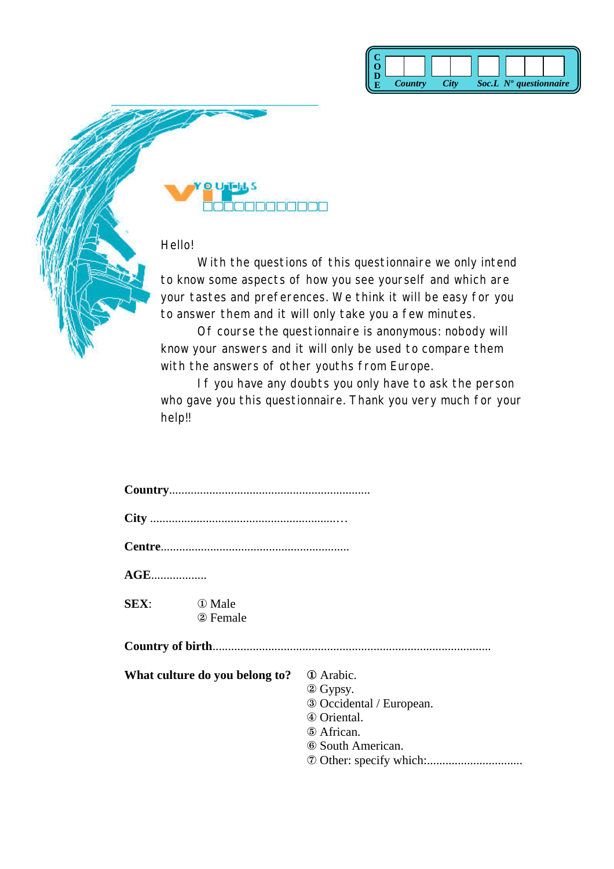



Hello!

With the questions of this questionnaire we only intend to know some aspects of how you see yourself and which are your tastes and preferences. We think it will be easy for you to answer them and it will only take you a few minutes.

Of course the questionnaire is anonymous: nobody will know your answers and it will only be used to compare them with the answers of other youths from Europe.

If you have any doubts you only have to ask the person who gave you this questionnaire. Thank you very much for your help!!

| $\mathbf{AGE}$ |                                |                                                                                                                   |
|----------------|--------------------------------|-------------------------------------------------------------------------------------------------------------------|
| SEX:           | <b>1</b> Male<br>2 Female      |                                                                                                                   |
|                |                                |                                                                                                                   |
|                | What culture do you belong to? | <b>①</b> Arabic.<br>2 Gypsy.<br>3 Occidental / European.<br>4 Oriental.<br>5 African.<br><b>6 South American.</b> |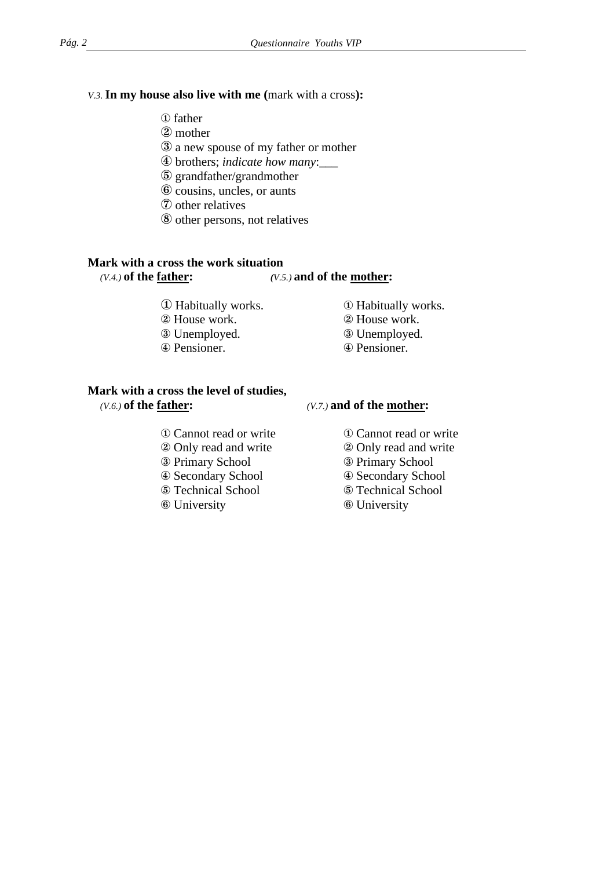### *V.3.* **In my house also live with me (**mark with a cross**):**

- ¨ father
- 2 mother
- Æ a new spouse of my father or mother
- Ø brothers; *indicate how many*:\_\_\_
- ° grandfather/grandmother
- $\odot$  cousins, uncles, or aunts
- $\circled{7}$  other relatives
- ³ other persons, not relatives

## **Mark with a cross the work situation**

## *(V.4.)* **of the father:** *(V.5.)* **and of the mother:**

- ① Habitually works. ① Habitually works.
- 2 House work. 2 House work.
- **EXECUTE:** EXECUTE: **EXECUTE:** EXECUTE: **EXECUTE:** EXECUTE: **EXECUTE:** EXECUTE: **EXECUTE:** EXECUTE: **EXECUTE:** EXECUTE: **EXECUTE:** EXECUTE: **EXECUTE:** EXECUTE: **EXECUTE:** EXECUTE: **EXECUTE:** EXECUTE: **EXECUTE:** EXECUTE: **E**
- Ø Pensioner. Ø Pensioner.
- 
- 
- -

# **Mark with a cross the level of studies,**  *(V.6.)* **of the father:** *(V.7.)* **and of the mother:**

- 
- Only read and write Only read and write
- **Example 28 Primary School Example 28 Primary School**
- 
- 
- $\circ$  University  $\circ$  University

- ① Cannot read or write ① Cannot read or write
	-
	-
- Ø Secondary School Ø Secondary School
- ° Technical School ° Technical School
	-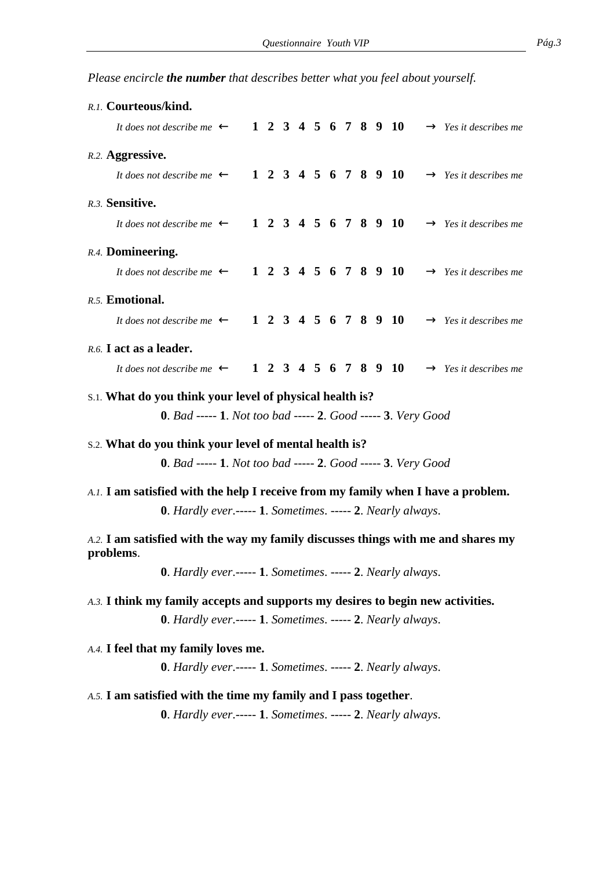*Please encircle the number that describes better what you feel about yourself.*

| R.1. Courteous/kind.                                                            |                                                                     |  |  |  |  |  |  |  |  |                      |                                                                                   |
|---------------------------------------------------------------------------------|---------------------------------------------------------------------|--|--|--|--|--|--|--|--|----------------------|-----------------------------------------------------------------------------------|
|                                                                                 | It does not describe me $\leftarrow$                                |  |  |  |  |  |  |  |  | 1 2 3 4 5 6 7 8 9 10 | $\rightarrow$ Yes it describes me                                                 |
| R.2. Aggressive.                                                                |                                                                     |  |  |  |  |  |  |  |  |                      |                                                                                   |
|                                                                                 | It does not describe me $\leftarrow$                                |  |  |  |  |  |  |  |  | 1 2 3 4 5 6 7 8 9 10 | $\rightarrow$ Yes it describes me                                                 |
| R.3. Sensitive.                                                                 |                                                                     |  |  |  |  |  |  |  |  |                      |                                                                                   |
|                                                                                 | It does not describe me $\leftarrow$                                |  |  |  |  |  |  |  |  | 1 2 3 4 5 6 7 8 9 10 | $\rightarrow$ Yes it describes me                                                 |
| R.4. Domineering.                                                               |                                                                     |  |  |  |  |  |  |  |  |                      |                                                                                   |
|                                                                                 | It does not describe me $\leftarrow$                                |  |  |  |  |  |  |  |  | 1 2 3 4 5 6 7 8 9 10 | $\rightarrow$ Yes it describes me                                                 |
| R.5. Emotional.                                                                 |                                                                     |  |  |  |  |  |  |  |  |                      |                                                                                   |
|                                                                                 | It does not describe me $\leftarrow$ 1 2 3 4 5 6 7 8 9 10           |  |  |  |  |  |  |  |  |                      | $\rightarrow$ Yes it describes me                                                 |
| R.6. I act as a leader.                                                         |                                                                     |  |  |  |  |  |  |  |  |                      |                                                                                   |
|                                                                                 | It does not describe me $\leftarrow$ 1 2 3 4 5 6 7 8 9 10           |  |  |  |  |  |  |  |  |                      | $\rightarrow$ Yes it describes me                                                 |
| s.1. What do you think your level of physical health is?                        |                                                                     |  |  |  |  |  |  |  |  |                      |                                                                                   |
|                                                                                 | <b>0.</b> Bad ----- 1. Not too bad ----- 2. Good ----- 3. Very Good |  |  |  |  |  |  |  |  |                      |                                                                                   |
|                                                                                 |                                                                     |  |  |  |  |  |  |  |  |                      |                                                                                   |
| s.2. What do you think your level of mental health is?                          |                                                                     |  |  |  |  |  |  |  |  |                      |                                                                                   |
| 0. Bad ----- 1. Not too bad ----- 2. Good ----- 3. Very Good                    |                                                                     |  |  |  |  |  |  |  |  |                      |                                                                                   |
|                                                                                 |                                                                     |  |  |  |  |  |  |  |  |                      | A.1. I am satisfied with the help I receive from my family when I have a problem. |
| $0.$ Hardly ever.----- 1. Sometimes. ----- 2. Nearly always.                    |                                                                     |  |  |  |  |  |  |  |  |                      |                                                                                   |
|                                                                                 |                                                                     |  |  |  |  |  |  |  |  |                      |                                                                                   |
| problems.                                                                       |                                                                     |  |  |  |  |  |  |  |  |                      | A.2. I am satisfied with the way my family discusses things with me and shares my |
|                                                                                 | 0. Hardly ever.----- 1. Sometimes. ----- 2. Nearly always.          |  |  |  |  |  |  |  |  |                      |                                                                                   |
| A.3. I think my family accepts and supports my desires to begin new activities. |                                                                     |  |  |  |  |  |  |  |  |                      |                                                                                   |
|                                                                                 | 0. Hardly ever.----- 1. Sometimes. ----- 2. Nearly always.          |  |  |  |  |  |  |  |  |                      |                                                                                   |
| A.4. I feel that my family loves me.                                            |                                                                     |  |  |  |  |  |  |  |  |                      |                                                                                   |
|                                                                                 |                                                                     |  |  |  |  |  |  |  |  |                      |                                                                                   |
| 0. Hardly ever.----- 1. Sometimes. ----- 2. Nearly always.                      |                                                                     |  |  |  |  |  |  |  |  |                      |                                                                                   |
| A.5. I am satisfied with the time my family and I pass together.                |                                                                     |  |  |  |  |  |  |  |  |                      |                                                                                   |
|                                                                                 | <b>0.</b> Hardly ever.----- 1. Sometimes. ----- 2. Nearly always.   |  |  |  |  |  |  |  |  |                      |                                                                                   |
|                                                                                 |                                                                     |  |  |  |  |  |  |  |  |                      |                                                                                   |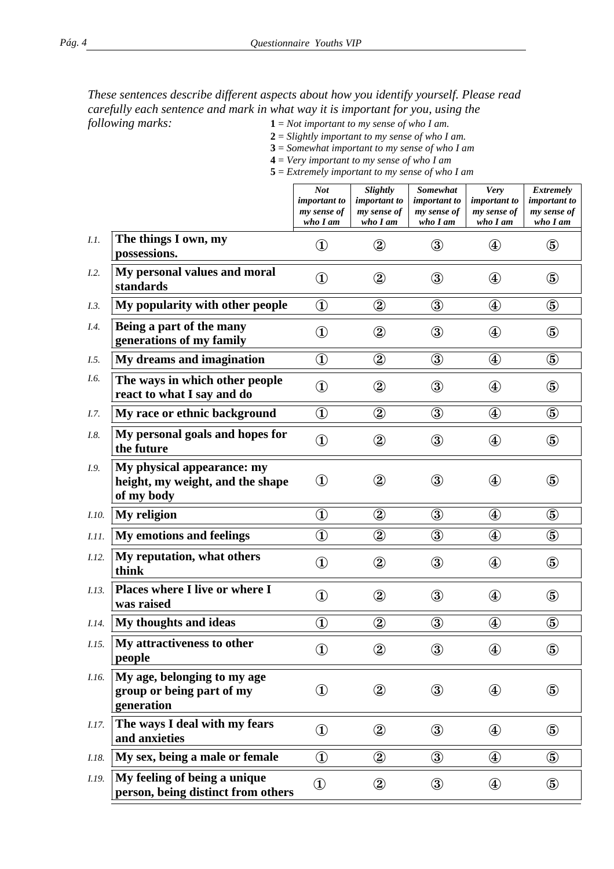*These sentences describe different aspects about how you identify yourself. Please read carefully each sentence and mark in what way it is important for you, using the* 

*following marks:* **1** = *Not important to my sense of who I am.*

**2** = *Slightly important to my sense of who I am.*

**3** = *Somewhat important to my sense of who I am*

**4** = *Very important to my sense of who I am* **5** = *Extremely important to my sense of who I am*

|              |                                                                              | <b>Not</b><br><i>important to</i><br>my sense of<br>who I am | Slightly<br><i>important to</i><br>my sense of<br>who I am | Somewhat<br><i>important to</i><br>my sense of<br>who I am | <b>Very</b><br><i>important to</i><br>my sense of<br>who I am | <b>Extremely</b><br><i>important to</i><br>my sense of<br>who I am |
|--------------|------------------------------------------------------------------------------|--------------------------------------------------------------|------------------------------------------------------------|------------------------------------------------------------|---------------------------------------------------------------|--------------------------------------------------------------------|
| I.1.         | The things I own, my<br>possessions.                                         | $\bigcirc$                                                   | $^\circledR$                                               | $\circled{3}$                                              | $^\circledR$                                                  | $\circledS$                                                        |
| I.2.         | My personal values and moral<br>standards                                    | $\bigcirc$                                                   | $^\circledR$                                               | $\circledS$                                                | $^{\small{\textcircled{\texttt{1}}}}$                         | $\circledS$                                                        |
| I.3.         | My popularity with other people                                              | $\bigcirc$                                                   | $^\circledR$                                               | $\circled{3}$                                              | $^\circledR$                                                  | $\circledS$                                                        |
| I.4.         | Being a part of the many<br>generations of my family                         | $\bigcirc$                                                   | $\circled{2}$                                              | $\circled{3}$                                              | $\circledast$                                                 | $\circledS$                                                        |
| I.5.         | My dreams and imagination                                                    | $\circled{1}$                                                | $\circled{2}$                                              | $\circled{3}$                                              | $^{\small{\textcircled{\footnotesize{4}}}}$                   | $\circledS$                                                        |
| I.6.         | The ways in which other people<br>react to what I say and do                 | $^\circledR$                                                 | $^\circledR$                                               | $\circled{3}$                                              | $^{\small{\textcircled{\footnotesize{4}}}}$                   | $\circledS$                                                        |
| I.7.         | My race or ethnic background                                                 | $^\circledR$                                                 | $^\copyright$                                              | $\circledS$                                                | $^\circledR$                                                  | $\circledS$                                                        |
| I.8.         | My personal goals and hopes for<br>the future                                | $\circled{1}$                                                | $^{\circledR}$                                             | $\circled{3}$                                              | $^{\small{\textcircled{\footnotesize{4}}}}$                   | $\circledS$                                                        |
| I.9.         | My physical appearance: my<br>height, my weight, and the shape<br>of my body | $^{\textcircled{\footnotesize{1}}}$                          | $^\circledR$                                               | $\circled{3}$                                              | $^\mathrm{\textregistered}$                                   | $\circledS$                                                        |
| I.10.        | My religion                                                                  | $^{\textcircled{\footnotesize{1}}}$                          | $\circled{2}$                                              | $\circled{3}$                                              | $^{\small{\textcircled{\footnotesize{4}}}}$                   | $\circledS$                                                        |
| <i>I.11.</i> | <b>My emotions and feelings</b>                                              | $^\circledR$                                                 | $^\circledR$                                               | $\circled{3}$                                              | $^\circledR$                                                  | $\circledS$                                                        |
| <i>I.12.</i> | My reputation, what others<br>think                                          | $\circled{1}$                                                | $\circled{2}$                                              | $\circled{3}$                                              | $^{\small{\textcircled{\texttt{1}}}}$                         | $\circledS$                                                        |
| I.13.        | Places where I live or where I<br>was raised                                 | $\bigcirc$                                                   | $^\circledR$                                               | $\circled{3}$                                              | $^{\small{\textcircled{\texttt{1}}}}$                         | $\circledS$                                                        |
| I.14.        | My thoughts and ideas                                                        | $^\circledR$                                                 | $^\copyright$                                              | $\circled{3}$                                              | $^\circledR$                                                  | $\circledS$                                                        |
| I.15.        | My attractiveness to other<br>people                                         | $\bigcirc$                                                   | $^\circledR$                                               | $\circled{3}$                                              | $^\circledR$                                                  | $\circledS$                                                        |
| I.16.        | My age, belonging to my age<br>group or being part of my<br>generation       | $\circled{1}$                                                | $\circled{2}$                                              | $\circled{3}$                                              | $^{\small{\textcircled{\texttt{1}}}}$                         | $\circledS$                                                        |
| <i>I.17.</i> | The ways I deal with my fears<br>and anxieties                               | $\bigcirc$                                                   | $\circled{2}$                                              | $\circled{3}$                                              | $\bigcircled{4}$                                              | $\circledS$                                                        |
| I.18.        | My sex, being a male or female                                               | $\circled{1}$                                                | $\circled{2}$                                              | $\circled{3}$                                              | $^{\small{\textcircled{\texttt{1}}}}$                         | $\circledS$                                                        |
| I.19.        | My feeling of being a unique<br>person, being distinct from others           | $^{\textcircled{\footnotesize{1}}}$                          | $\circled{2}$                                              | $\circled{3}$                                              | $\circledast$                                                 | $\circledS$                                                        |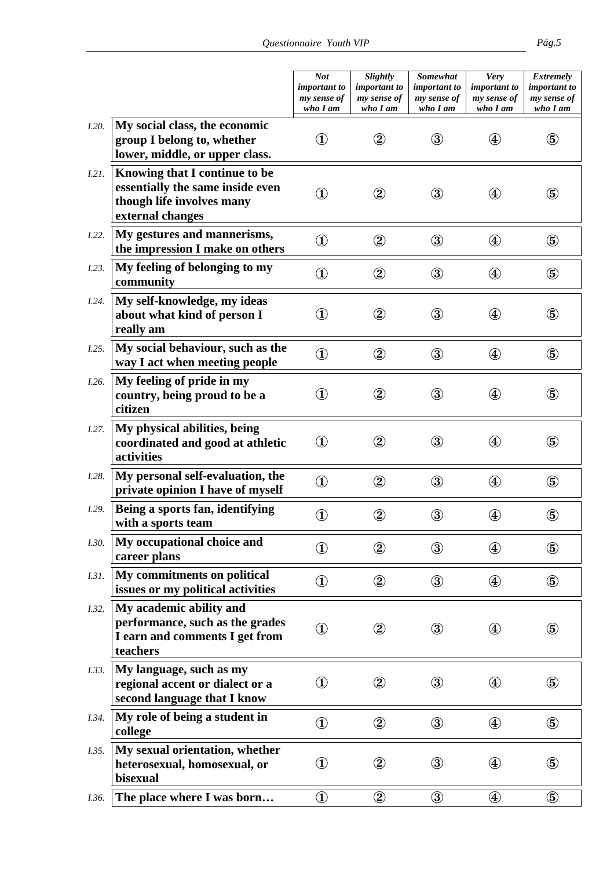|              |                                                                                                                    | <b>Not</b><br><i>important to</i><br>my sense of<br>who I am | Slightly<br>important to<br>my sense of<br>who I am | Somewhat<br><i>important to</i><br>my sense of<br>who I am | <b>Very</b><br><i>important to</i><br>my sense of<br>who I am | <b>Extremely</b><br><i>important to</i><br>my sense of<br>who I am |
|--------------|--------------------------------------------------------------------------------------------------------------------|--------------------------------------------------------------|-----------------------------------------------------|------------------------------------------------------------|---------------------------------------------------------------|--------------------------------------------------------------------|
| I.20.        | My social class, the economic<br>group I belong to, whether<br>lower, middle, or upper class.                      | $\textcircled{\textbf{1}}$                                   | $^\mathrm{\odot}$                                   | $\circledS$                                                | $\left( 4\right)$                                             | $\circledS$                                                        |
| 1.21.        | Knowing that I continue to be<br>essentially the same inside even<br>though life involves many<br>external changes | $^\mathrm{(1)}$                                              | $^\mathrm{\textregistered}$                         | $\circledS$                                                | $\circledast$                                                 | $\circledS$                                                        |
| I.22.        | My gestures and mannerisms,<br>the impression I make on others                                                     | $\circled{1}$                                                | $^\circledR$                                        | $\circled{3}$                                              | $\circledast$                                                 | $\circledS$                                                        |
| I.23.        | My feeling of belonging to my<br>community                                                                         | $\circled{1}$                                                | $^\copyright$                                       | $\circledS$                                                | $\circledast$                                                 | $\circledS$                                                        |
| I.24.        | My self-knowledge, my ideas<br>about what kind of person I<br>really am                                            | $\circled{1}$                                                | $^\mathrm{\textregistered}$                         | $\circled{3}$                                              | $\circledast$                                                 | $\circledS$                                                        |
| I.25.        | My social behaviour, such as the<br>way I act when meeting people                                                  | $\circled{1}$                                                | $\circled{2}$                                       | $\circled{3}$                                              | $\circledast$                                                 | $\circledS$                                                        |
| I.26.        | My feeling of pride in my<br>country, being proud to be a<br>citizen                                               | $\textcircled{\textbf{1}}$                                   | $^\circledR$                                        | $\circled{3}$                                              | $\circledast$                                                 | $\circledS$                                                        |
| I.27.        | My physical abilities, being<br>coordinated and good at athletic<br>activities                                     | $\circled{1}$                                                | $^\mathrm{\textregistered}$                         | $\circled{3}$                                              | $\circledast$                                                 | $\circledS$                                                        |
| <i>I.28.</i> | My personal self-evaluation, the<br>private opinion I have of myself                                               | $\bigcirc$                                                   | $\circled{2}$                                       | $\circled{3}$                                              | $\circledast$                                                 | $\circledS$                                                        |
| I.29.        | Being a sports fan, identifying<br>with a sports team                                                              | $^\circledR$                                                 | $^\copyright$                                       | $\circledS$                                                | $\circledast$                                                 | $\circledS$                                                        |
| I.30.        | My occupational choice and<br>career plans                                                                         | $\bigcirc$                                                   | $^{\circledR}$                                      | $\circled{3}$                                              | $\bigcircled{4}$                                              | $\circledS$                                                        |
| I.3I.        | My commitments on political<br>issues or my political activities                                                   | $\circled{1}$                                                | $^\circledR$                                        | $\circled{3}$                                              | $\bigcircled{4}$                                              | $\circledS$                                                        |
| I.32.        | My academic ability and<br>performance, such as the grades<br>I earn and comments I get from<br>teachers           | $\textcircled{\textbf{1}}$                                   | $^\circledR$                                        | $\circled{3}$                                              | $\circledast$                                                 | $\circledS$                                                        |
| I.33.        | My language, such as my<br>regional accent or dialect or a<br>second language that I know                          | $^{\circledR}$                                               | $^\circledR$                                        | $\circledS$                                                | $\circledast$                                                 | $\circledS$                                                        |
| <i>I.34.</i> | My role of being a student in<br>college                                                                           | $\bigcirc$                                                   | $^{\circledR}$                                      | $\circled{3}$                                              | $\bigcircled{4}$                                              | $\circledS$                                                        |
| I.35.        | My sexual orientation, whether<br>heterosexual, homosexual, or<br>bisexual                                         | $^{\circledR}$                                               | $^\copyright$                                       | $\circledS$                                                | $\circledast$                                                 | $\circledS$                                                        |
| I.36.        | The place where I was born                                                                                         | $^\circledR$                                                 | $^\circledR$                                        | $\circled{3}$                                              | $\circledast$                                                 | $\circledS$                                                        |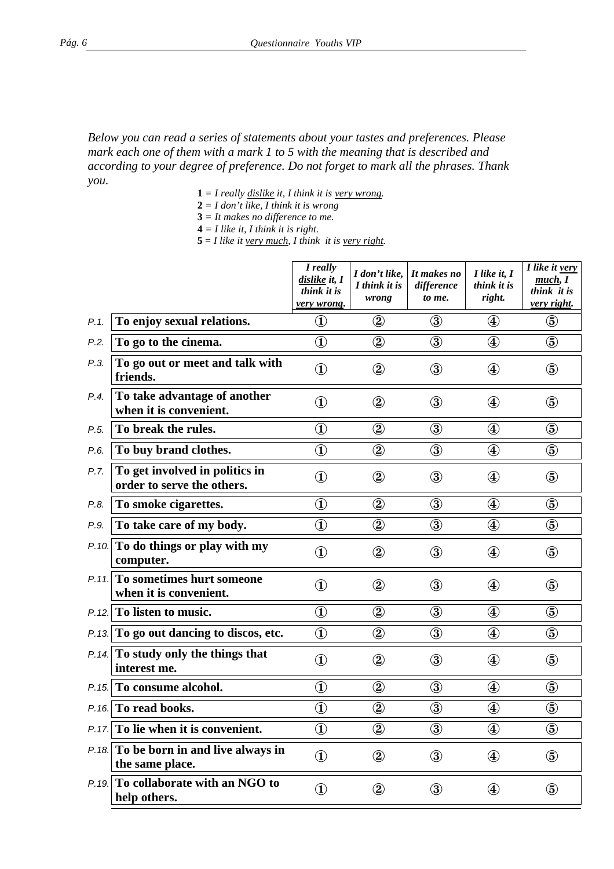## *Below you can read a series of statements about your tastes and preferences. Please mark each one of them with a mark 1 to 5 with the meaning that is described and according to your degree of preference. Do not forget to mark all the phrases. Thank you.*

- $1 = I$  really <u>dislike</u> it, I think it is <u>very wrong</u>.
- **2** *= I don't like, I think it is wrong*
- **3** *= It makes no difference to me.*
- $4 = I$  like it, I think it is right.
- $5 = I$  like it <u>very much</u>, I think it is <u>very right</u>.

|       |                                                              | I really<br>dislike it, I<br>think it is<br><u>very wrong.</u> | I don't like,<br>I think it is<br>wrong | It makes no<br>difference<br>to me. | I like it, I<br>think it is<br>right.       | I like it very<br>much, I<br>think it is<br>very right. |
|-------|--------------------------------------------------------------|----------------------------------------------------------------|-----------------------------------------|-------------------------------------|---------------------------------------------|---------------------------------------------------------|
| P.1.  | To enjoy sexual relations.                                   | $^\circledR$                                                   | $^\circledR$                            | $\circled{3}$                       | $\circledast$                               | $\circledS$                                             |
| P.2.  | To go to the cinema.                                         | $\bigcirc$                                                     | $^{\circledR}$                          | $\circled{3}$                       | $\bigcircled{4}$                            | $\circledS$                                             |
| P.3.  | To go out or meet and talk with<br>friends.                  | $^\circledR$                                                   | $^\circledR$                            | $\circled{3}$                       | $\bigcircled{4}$                            | $\circledS$                                             |
| P.4.  | To take advantage of another<br>when it is convenient.       | $^{\circledR}$                                                 | $^\circledR$                            | $\circled{3}$                       | $\circledast$                               | $\circledS$                                             |
| P.5.  | To break the rules.                                          | $^\circledR$                                                   | $^{\circledR}$                          | $\circled{3}$                       | $^{\small{\textcircled{\footnotesize{4}}}}$ | $\circledS$                                             |
| P.6.  | To buy brand clothes.                                        | $^\circledR$                                                   | $^\circledR$                            | $\circled{3}$                       | $\circledast$                               | $\circledS$                                             |
| P.7.  | To get involved in politics in<br>order to serve the others. | $^{\textcircled{\footnotesize{1}}}$                            | $^\copyright$                           | $\circledS$                         | $\circledast$                               | $\circledS$                                             |
| P.8.  | To smoke cigarettes.                                         | $^{\textcircled{\footnotesize{1}}}$                            | $^{\circledR}$                          | $\circled{3}$                       | $^{\small{\textcircled{\texttt{1}}}}$       | $\circledS$                                             |
| P.9.  | To take care of my body.                                     | $^{\textcircled{\footnotesize{1}}}$                            | $^\circledR$                            | $\circled{3}$                       | $\circledast$                               | $\circledS$                                             |
|       | P.10. To do things or play with my<br>computer.              | $^{\textcircled{\footnotesize{1}}}$                            | $^\copyright$                           | $\circledS$                         | $\circledast$                               | $\circledS$                                             |
| P.11. | To sometimes hurt someone<br>when it is convenient.          | $^\circledR$                                                   | $^\circledR$                            | $\circled{3}$                       | $\circledast$                               | $\circledS$                                             |
| P.12. | To listen to music.                                          | $^{\textcircled{\footnotesize{1}}}$                            | $^\circledR$                            | $\circled{3}$                       | $\circledast$                               | $\circledS$                                             |
|       | P.13. To go out dancing to discos, etc.                      | $\textcircled{\scriptsize{1}}$                                 | $\circled{2}$                           | $\circled{3}$                       | $\bigcircled{4}$                            | $\circledS$                                             |
|       | P.14. To study only the things that<br>interest me.          | $^{\textcircled{\footnotesize{1}}}$                            | $\circled{2}$                           | $\circled{3}$                       | $\circledast$                               | $\circledS$                                             |
| P.15. | To consume alcohol.                                          | $^{\textcircled{\footnotesize{1}}}$                            | $^\circledR$                            | $\circled{3}$                       | $^{\small{\textcircled{\footnotesize{4}}}}$ | $\circledS$                                             |
| P.16. | To read books.                                               | $^{\textcircled{\footnotesize{1}}}$                            | $^\circledR$                            | $\circled{3}$                       | $^{\small{\textcircled{\texttt{1}}}}$       | $\circledS$                                             |
|       | $P.17$ . To lie when it is convenient.                       | $\bigcirc$                                                     | $^\circledR$                            | $\circled{3}$                       | $\bigcircled{4}$                            | $\circledS$                                             |
|       | P.18. To be born in and live always in<br>the same place.    | $\bigcirc$                                                     | $\circled{2}$                           | $\circled{3}$                       | $\bigcircled{4}$                            | $\circledS$                                             |
| P.19. | To collaborate with an NGO to<br>help others.                | $\bigcirc$                                                     | $\circled{2}$                           | $\circled{3}$                       | $\circledast$                               | $\circledS$                                             |